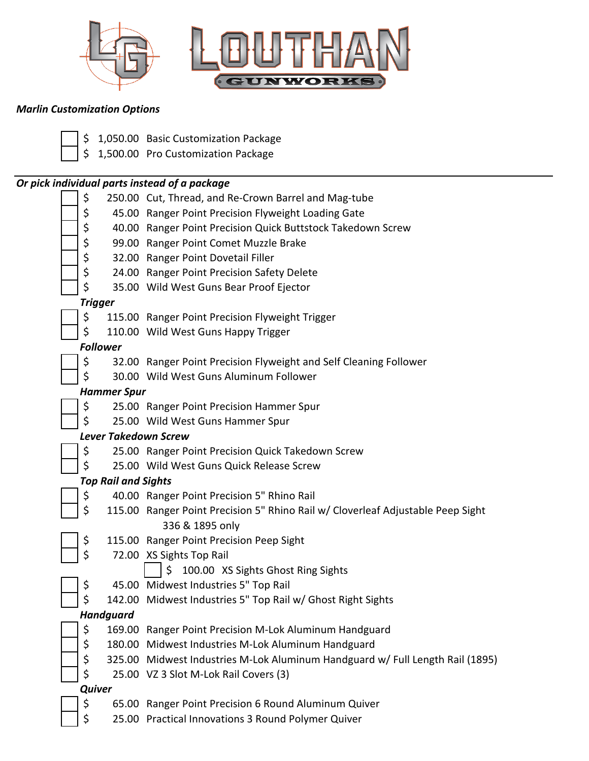



## *Marlin Customization Options*

| \$ |                             | 1,050.00 Basic Customization Package                                                                         |
|----|-----------------------------|--------------------------------------------------------------------------------------------------------------|
|    |                             | \$ 1,500.00 Pro Customization Package                                                                        |
|    |                             | Or pick individual parts instead of a package                                                                |
| \$ |                             | 250.00 Cut, Thread, and Re-Crown Barrel and Mag-tube                                                         |
| \$ |                             | 45.00 Ranger Point Precision Flyweight Loading Gate                                                          |
| \$ |                             | 40.00 Ranger Point Precision Quick Buttstock Takedown Screw                                                  |
| \$ |                             | 99.00 Ranger Point Comet Muzzle Brake                                                                        |
| \$ |                             | 32.00 Ranger Point Dovetail Filler                                                                           |
| \$ |                             | 24.00 Ranger Point Precision Safety Delete                                                                   |
| \$ |                             | 35.00 Wild West Guns Bear Proof Ejector                                                                      |
|    | Trigger                     |                                                                                                              |
| \$ |                             | 115.00 Ranger Point Precision Flyweight Trigger                                                              |
| \$ |                             | 110.00 Wild West Guns Happy Trigger                                                                          |
|    | <b>Follower</b>             |                                                                                                              |
| \$ |                             | 32.00 Ranger Point Precision Flyweight and Self Cleaning Follower                                            |
| \$ |                             | 30.00 Wild West Guns Aluminum Follower                                                                       |
|    | <b>Hammer Spur</b>          |                                                                                                              |
| \$ |                             | 25.00 Ranger Point Precision Hammer Spur                                                                     |
| \$ |                             | 25.00 Wild West Guns Hammer Spur                                                                             |
|    | <b>Lever Takedown Screw</b> |                                                                                                              |
| \$ |                             | 25.00 Ranger Point Precision Quick Takedown Screw                                                            |
| \$ |                             | 25.00 Wild West Guns Quick Release Screw                                                                     |
|    | <b>Top Rail and Sights</b>  |                                                                                                              |
| \$ |                             | 40.00 Ranger Point Precision 5" Rhino Rail                                                                   |
| \$ |                             | 115.00 Ranger Point Precision 5" Rhino Rail w/ Cloverleaf Adjustable Peep Sight                              |
|    |                             | 336 & 1895 only                                                                                              |
| \$ |                             | 115.00 Ranger Point Precision Peep Sight                                                                     |
| \$ |                             | 72.00 XS Sights Top Rail                                                                                     |
|    |                             | 100.00 XS Sights Ghost Ring Sights<br>\$                                                                     |
| \$ |                             | 45.00 Midwest Industries 5" Top Rail                                                                         |
| \$ |                             | 142.00 Midwest Industries 5" Top Rail w/ Ghost Right Sights                                                  |
|    | <b>Handguard</b>            |                                                                                                              |
| \$ |                             | 169.00 Ranger Point Precision M-Lok Aluminum Handguard<br>180.00 Midwest Industries M-Lok Aluminum Handguard |
| \$ |                             | 325.00 Midwest Industries M-Lok Aluminum Handguard w/ Full Length Rail (1895)                                |
| \$ |                             |                                                                                                              |
| \$ | <b>Quiver</b>               | 25.00 VZ 3 Slot M-Lok Rail Covers (3)                                                                        |
| \$ |                             | 65.00 Ranger Point Precision 6 Round Aluminum Quiver                                                         |
| \$ |                             | 25.00 Practical Innovations 3 Round Polymer Quiver                                                           |
|    |                             |                                                                                                              |
|    |                             |                                                                                                              |